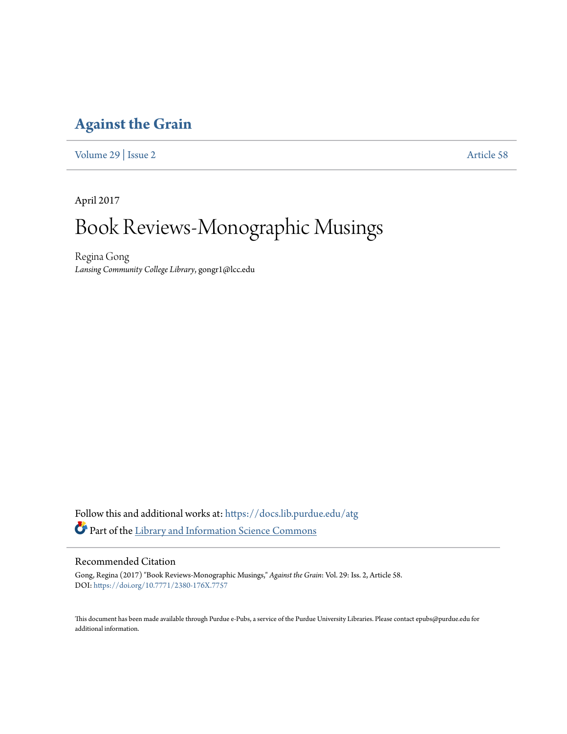### **[Against the Grain](https://docs.lib.purdue.edu/atg?utm_source=docs.lib.purdue.edu%2Fatg%2Fvol29%2Fiss2%2F58&utm_medium=PDF&utm_campaign=PDFCoverPages)**

[Volume 29](https://docs.lib.purdue.edu/atg/vol29?utm_source=docs.lib.purdue.edu%2Fatg%2Fvol29%2Fiss2%2F58&utm_medium=PDF&utm_campaign=PDFCoverPages) | [Issue 2](https://docs.lib.purdue.edu/atg/vol29/iss2?utm_source=docs.lib.purdue.edu%2Fatg%2Fvol29%2Fiss2%2F58&utm_medium=PDF&utm_campaign=PDFCoverPages) [Article 58](https://docs.lib.purdue.edu/atg/vol29/iss2/58?utm_source=docs.lib.purdue.edu%2Fatg%2Fvol29%2Fiss2%2F58&utm_medium=PDF&utm_campaign=PDFCoverPages)

April 2017

# Book Reviews-Monographic Musings

Regina Gong *Lansing Community College Library*, gongr1@lcc.edu

Follow this and additional works at: [https://docs.lib.purdue.edu/atg](https://docs.lib.purdue.edu/atg?utm_source=docs.lib.purdue.edu%2Fatg%2Fvol29%2Fiss2%2F58&utm_medium=PDF&utm_campaign=PDFCoverPages) Part of the [Library and Information Science Commons](http://network.bepress.com/hgg/discipline/1018?utm_source=docs.lib.purdue.edu%2Fatg%2Fvol29%2Fiss2%2F58&utm_medium=PDF&utm_campaign=PDFCoverPages)

### Recommended Citation

Gong, Regina (2017) "Book Reviews-Monographic Musings," *Against the Grain*: Vol. 29: Iss. 2, Article 58. DOI: <https://doi.org/10.7771/2380-176X.7757>

This document has been made available through Purdue e-Pubs, a service of the Purdue University Libraries. Please contact epubs@purdue.edu for additional information.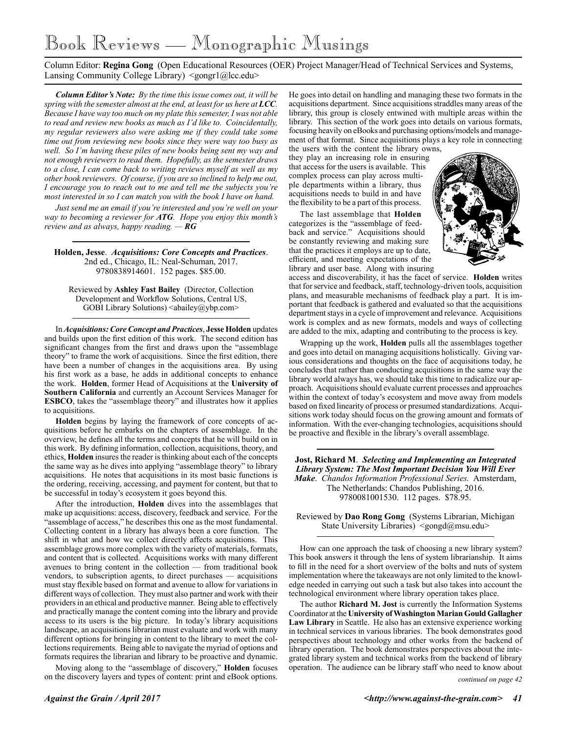## Book Reviews — Monographic Musings

Column Editor: **Regina Gong** (Open Educational Resources (OER) Project Manager/Head of Technical Services and Systems, Lansing Community College Library) <gongr1@lcc.edu>

*Column Editor's Note: By the time this issue comes out, it will be spring with the semester almost at the end, at least for us here at LCC. Because I have way too much on my plate this semester, I was not able to read and review new books as much as I'd like to. Coincidentally, my regular reviewers also were asking me if they could take some time out from reviewing new books since they were way too busy as well. So I'm having these piles of new books being sent my way and not enough reviewers to read them. Hopefully, as the semester draws to a close, I can come back to writing reviews myself as well as my other book reviewers. Of course, if you are so inclined to help me out, I encourage you to reach out to me and tell me the subjects you're most interested in so I can match you with the book I have on hand.* 

*Just send me an email if you're interested and you're well on your way to becoming a reviewer for ATG. Hope you enjoy this month's review and as always, happy reading. — RG*

**Holden, Jesse**. *Acquisitions: Core Concepts and Practices*. 2nd ed., Chicago, IL: Neal-Schuman, 2017. 9780838914601. 152 pages. \$85.00.

Reviewed by **Ashley Fast Bailey** (Director, Collection Development and Workflow Solutions, Central US, GOBI Library Solutions) <abailey@ybp.com>

In *Acquisitions: Core Concept and Practices*, **Jesse Holden** updates and builds upon the first edition of this work. The second edition has significant changes from the first and draws upon the "assemblage theory" to frame the work of acquisitions. Since the first edition, there have been a number of changes in the acquisitions area. By using his first work as a base, he adds in additional concepts to enhance the work. **Holden**, former Head of Acquisitions at the **University of Southern California** and currently an Account Services Manager for **ESBCO**, takes the "assemblage theory" and illustrates how it applies to acquisitions.

**Holden** begins by laying the framework of core concepts of acquisitions before he embarks on the chapters of assemblage. In the overview, he defines all the terms and concepts that he will build on in this work. By defining information, collection, acquisitions, theory, and ethics, **Holden** insures the reader is thinking about each of the concepts the same way as he dives into applying "assemblage theory" to library acquisitions. He notes that acquisitions in its most basic functions is the ordering, receiving, accessing, and payment for content, but that to be successful in today's ecosystem it goes beyond this.

After the introduction, **Holden** dives into the assemblages that make up acquisitions: access, discovery, feedback and service. For the "assemblage of access," he describes this one as the most fundamental. Collecting content in a library has always been a core function. The shift in what and how we collect directly affects acquisitions. This assemblage grows more complex with the variety of materials, formats, and content that is collected. Acquisitions works with many different avenues to bring content in the collection — from traditional book vendors, to subscription agents, to direct purchases — acquisitions must stay flexible based on format and avenue to allow for variations in different ways of collection. They must also partner and work with their providers in an ethical and productive manner. Being able to effectively and practically manage the content coming into the library and provide access to its users is the big picture. In today's library acquisitions landscape, an acquisitions librarian must evaluate and work with many different options for bringing in content to the library to meet the collections requirements. Being able to navigate the myriad of options and formats requires the librarian and library to be proactive and dynamic.

Moving along to the "assemblage of discovery," **Holden** focuses on the discovery layers and types of content: print and eBook options.

He goes into detail on handling and managing these two formats in the acquisitions department. Since acquisitions straddles many areas of the library, this group is closely entwined with multiple areas within the library. This section of the work goes into details on various formats, focusing heavily on eBooks and purchasing options/models and management of that format. Since acquisitions plays a key role in connecting

the users with the content the library owns, they play an increasing role in ensuring that access for the users is available. This complex process can play across multiple departments within a library, thus acquisitions needs to build in and have the flexibility to be a part of this process.

The last assemblage that **Holden** categorizes is the "assemblage of feedback and service." Acquisitions should be constantly reviewing and making sure that the practices it employs are up to date, efficient, and meeting expectations of the library and user base. Along with insuring



access and discoverability, it has the facet of service. **Holden** writes that for service and feedback, staff, technology-driven tools, acquisition plans, and measurable mechanisms of feedback play a part. It is important that feedback is gathered and evaluated so that the acquisitions department stays in a cycle of improvement and relevance. Acquisitions work is complex and as new formats, models and ways of collecting are added to the mix, adapting and contributing to the process is key.

Wrapping up the work, **Holden** pulls all the assemblages together and goes into detail on managing acquisitions holistically. Giving various considerations and thoughts on the face of acquisitions today, he concludes that rather than conducting acquisitions in the same way the library world always has, we should take this time to radicalize our approach. Acquisitions should evaluate current processes and approaches within the context of today's ecosystem and move away from models based on fixed linearity of process or presumed standardizations. Acquisitions work today should focus on the growing amount and formats of information. With the ever-changing technologies, acquisitions should be proactive and flexible in the library's overall assemblage.

**Jost, Richard M**. *Selecting and Implementing an Integrated Library System: The Most Important Decision You Will Ever Make*. *Chandos Information Professional Series.* Amsterdam, The Netherlands: Chandos Publishing, 2016. 9780081001530. 112 pages. \$78.95.

Reviewed by **Dao Rong Gong** (Systems Librarian, Michigan State University Libraries)  $\langle \text{gongd}(\hat{\alpha})$ msu.edu>

How can one approach the task of choosing a new library system? This book answers it through the lens of system librarianship. It aims to fill in the need for a short overview of the bolts and nuts of system implementation where the takeaways are not only limited to the knowledge needed in carrying out such a task but also takes into account the technological environment where library operation takes place.

The author **Richard M. Jost** is currently the Information Systems Coordinator at the **University of Washington Marian Gould Gallagher Law Library** in Seattle. He also has an extensive experience working in technical services in various libraries. The book demonstrates good perspectives about technology and other works from the backend of library operation. The book demonstrates perspectives about the integrated library system and technical works from the backend of library operation. The audience can be library staff who need to know about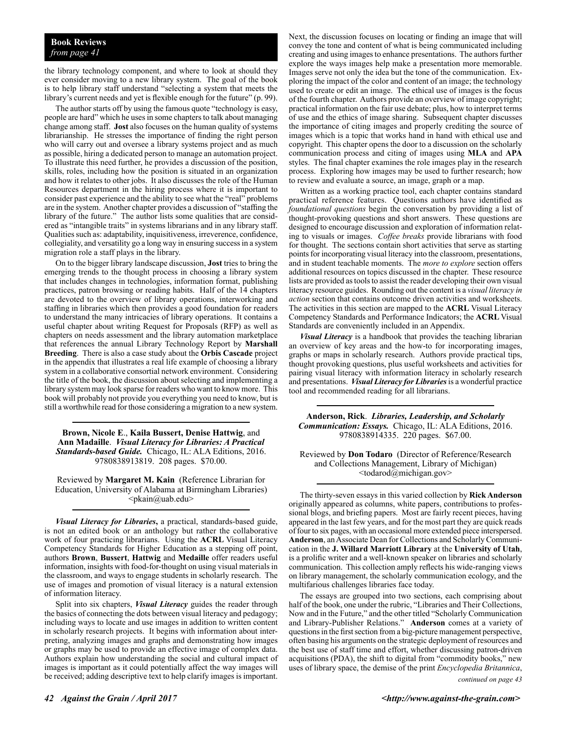#### **Book Reviews** *from page 41*

the library technology component, and where to look at should they ever consider moving to a new library system. The goal of the book is to help library staff understand "selecting a system that meets the library's current needs and yet is flexible enough for the future" (p. 99).

The author starts off by using the famous quote "technology is easy, people are hard" which he uses in some chapters to talk about managing change among staff. **Jost** also focuses on the human quality of systems librarianship. He stresses the importance of finding the right person who will carry out and oversee a library systems project and as much as possible, hiring a dedicated person to manage an automation project. To illustrate this need further, he provides a discussion of the position, skills, roles, including how the position is situated in an organization and how it relates to other jobs. It also discusses the role of the Human Resources department in the hiring process where it is important to consider past experience and the ability to see what the "real" problems are in the system. Another chapter provides a discussion of "staffing the library of the future." The author lists some qualities that are considered as "intangible traits" in systems librarians and in any library staff. Qualities such as: adaptability, inquisitiveness, irreverence, confidence, collegiality, and versatility go a long way in ensuring success in a system migration role a staff plays in the library.

On to the bigger library landscape discussion, **Jost** tries to bring the emerging trends to the thought process in choosing a library system that includes changes in technologies, information format, publishing practices, patron browsing or reading habits. Half of the 14 chapters are devoted to the overview of library operations, interworking and staffing in libraries which then provides a good foundation for readers to understand the many intricacies of library operations. It contains a useful chapter about writing Request for Proposals (RFP) as well as chapters on needs assessment and the library automation marketplace that references the annual Library Technology Report by **Marshall Breeding**. There is also a case study about the **Orbis Cascade** project in the appendix that illustrates a real life example of choosing a library system in a collaborative consortial network environment. Considering the title of the book, the discussion about selecting and implementing a library system may look sparse for readers who want to know more. This book will probably not provide you everything you need to know, but is still a worthwhile read for those considering a migration to a new system.

**Brown, Nicole E**., **Kaila Bussert, Denise Hattwig**, and **Ann Madaille**. *Visual Literacy for Libraries: A Practical Standards-based Guide.* Chicago, IL: ALA Editions, 2016. 9780838913819. 208 pages. \$70.00.

Reviewed by **Margaret M. Kain** (Reference Librarian for Education, University of Alabama at Birmingham Libraries) <pkain@uab.edu>

*Visual Literacy for Libraries***,** a practical, standards-based guide, is not an edited book or an anthology but rather the collaborative work of four practicing librarians. Using the **ACRL** Visual Literacy Competency Standards for Higher Education as a stepping off point, authors **Brown**, **Bussert**, **Hattwig** and **Medaille** offer readers useful information, insights with food-for-thought on using visual materials in the classroom, and ways to engage students in scholarly research. The use of images and promotion of visual literacy is a natural extension of information literacy.

Split into six chapters, *Visual Literacy* guides the reader through the basics of connecting the dots between visual literacy and pedagogy; including ways to locate and use images in addition to written content in scholarly research projects. It begins with information about interpreting, analyzing images and graphs and demonstrating how images or graphs may be used to provide an effective image of complex data. Authors explain how understanding the social and cultural impact of images is important as it could potentially affect the way images will be received; adding descriptive text to help clarify images is important.

Next, the discussion focuses on locating or finding an image that will convey the tone and content of what is being communicated including creating and using images to enhance presentations. The authors further explore the ways images help make a presentation more memorable. Images serve not only the idea but the tone of the communication. Exploring the impact of the color and content of an image; the technology used to create or edit an image. The ethical use of images is the focus of the fourth chapter. Authors provide an overview of image copyright; practical information on the fair use debate; plus, how to interpret terms of use and the ethics of image sharing. Subsequent chapter discusses the importance of citing images and properly crediting the source of images which is a topic that works hand in hand with ethical use and copyright. This chapter opens the door to a discussion on the scholarly communication process and citing of images using **MLA** and **APA** styles. The final chapter examines the role images play in the research process. Exploring how images may be used to further research; how to review and evaluate a source, an image, graph or a map.

Written as a working practice tool, each chapter contains standard practical reference features. Questions authors have identified as *foundational questions* begin the conversation by providing a list of thought-provoking questions and short answers. These questions are designed to encourage discussion and exploration of information relating to visuals or images. *Coffee breaks* provide librarians with food for thought. The sections contain short activities that serve as starting points for incorporating visual literacy into the classroom, presentations, and in student teachable moments. The *more to explore* section offers additional resources on topics discussed in the chapter. These resource lists are provided as tools to assist the reader developing their own visual literacy resource guides. Rounding out the content is a *visual literacy in action* section that contains outcome driven activities and worksheets. The activities in this section are mapped to the **ACRL** Visual Literacy Competency Standards and Performance Indicators; the **ACRL** Visual Standards are conveniently included in an Appendix.

*Visual Literacy* is a handbook that provides the teaching librarian an overview of key areas and the how-to for incorporating images, graphs or maps in scholarly research. Authors provide practical tips, thought provoking questions, plus useful worksheets and activities for pairing visual literacy with information literacy in scholarly research and presentations. *Visual Literacy for Libraries*is a wonderful practice tool and recommended reading for all librarians.

**Anderson, Rick**. *Libraries, Leadership, and Scholarly Communication: Essays.* Chicago, IL: ALA Editions, 2016. 9780838914335. 220 pages. \$67.00.

Reviewed by **Don Todaro** (Director of Reference/Research and Collections Management, Library of Michigan) <todarod@michigan.gov>

The thirty-seven essays in this varied collection by **Rick Anderson** originally appeared as columns, white papers, contributions to professional blogs, and briefing papers. Most are fairly recent pieces, having appeared in the last few years, and for the most part they are quick reads of four to six pages, with an occasional more extended piece interspersed. **Anderson**, an Associate Dean for Collections and Scholarly Communication in the **J. Willard Marriott Library** at the **University of Utah**, is a prolific writer and a well-known speaker on libraries and scholarly communication. This collection amply reflects his wide-ranging views on library management, the scholarly communication ecology, and the multifarious challenges libraries face today.

The essays are grouped into two sections, each comprising about half of the book, one under the rubric, "Libraries and Their Collections, Now and in the Future," and the other titled "Scholarly Communication and Library-Publisher Relations." **Anderson** comes at a variety of questions in the first section from a big-picture management perspective, often basing his arguments on the strategic deployment of resources and the best use of staff time and effort, whether discussing patron-driven acquisitions (PDA), the shift to digital from "commodity books," new uses of library space, the demise of the print *Encyclopedia Britannica*,

*continued on page 43*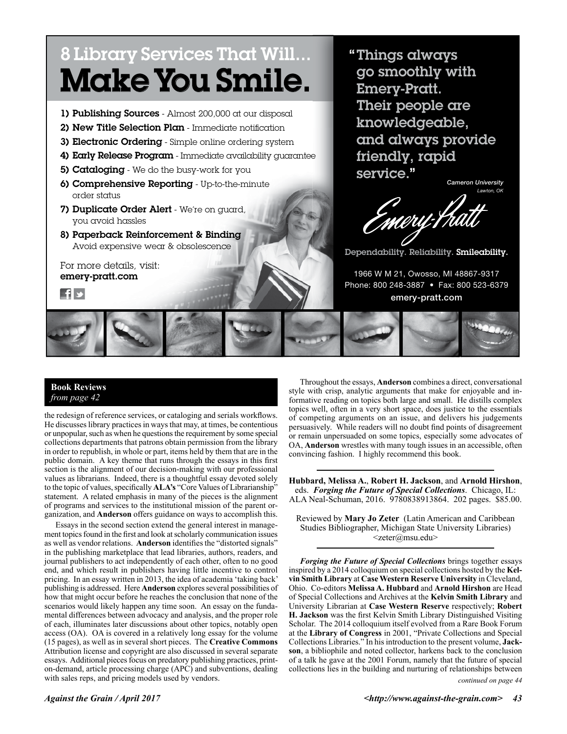

### **Book Reviews** *from page 42*

the redesign of reference services, or cataloging and serials workflows. He discusses library practices in ways that may, at times, be contentious or unpopular, such as when he questions the requirement by some special collections departments that patrons obtain permission from the library in order to republish, in whole or part, items held by them that are in the public domain. A key theme that runs through the essays in this first section is the alignment of our decision-making with our professional values as librarians. Indeed, there is a thoughtful essay devoted solely to the topic of values, specifically **ALA's** "Core Values of Librarianship" statement. A related emphasis in many of the pieces is the alignment of programs and services to the institutional mission of the parent organization, and **Anderson** offers guidance on ways to accomplish this.

Essays in the second section extend the general interest in management topics found in the first and look at scholarly communication issues as well as vendor relations. **Anderson** identifies the "distorted signals" in the publishing marketplace that lead libraries, authors, readers, and journal publishers to act independently of each other, often to no good end, and which result in publishers having little incentive to control pricing. In an essay written in 2013, the idea of academia 'taking back' publishing is addressed. Here **Anderson** explores several possibilities of how that might occur before he reaches the conclusion that none of the scenarios would likely happen any time soon. An essay on the fundamental differences between advocacy and analysis, and the proper role of each, illuminates later discussions about other topics, notably open access (OA). OA is covered in a relatively long essay for the volume (15 pages), as well as in several short pieces. The **Creative Commons** Attribution license and copyright are also discussed in several separate essays. Additional pieces focus on predatory publishing practices, printon-demand, article processing charge (APC) and subventions, dealing with sales reps, and pricing models used by vendors.

Throughout the essays, **Anderson** combines a direct, conversational style with crisp, analytic arguments that make for enjoyable and informative reading on topics both large and small. He distills complex topics well, often in a very short space, does justice to the essentials of competing arguments on an issue, and delivers his judgements persuasively. While readers will no doubt find points of disagreement or remain unpersuaded on some topics, especially some advocates of OA, **Anderson** wrestles with many tough issues in an accessible, often convincing fashion. I highly recommend this book.

*Lawton, OK*

**Hubbard, Melissa A.**, **Robert H. Jackson**, and **Arnold Hirshon**, eds. *Forging the Future of Special Collections*. Chicago, IL: ALA Neal-Schuman, 2016. 9780838913864. 202 pages. \$85.00.

Reviewed by **Mary Jo Zeter** (Latin American and Caribbean Studies Bibliographer, Michigan State University Libraries)  $\leq$ zeter $\omega$ msu.edu $>$ 

*Forging the Future of Special Collections* brings together essays inspired by a 2014 colloquium on special collections hosted by the **Kelvin Smith Library** at **Case Western Reserve University** in Cleveland, Ohio. Co-editors **Melissa A. Hubbard** and **Arnold Hirshon** are Head of Special Collections and Archives at the **Kelvin Smith Library** and University Librarian at **Case Western Reserve** respectively; **Robert H. Jackson** was the first Kelvin Smith Library Distinguished Visiting Scholar. The 2014 colloquium itself evolved from a Rare Book Forum at the **Library of Congress** in 2001, "Private Collections and Special Collections Libraries." In his introduction to the present volume, **Jackson**, a bibliophile and noted collector, harkens back to the conclusion of a talk he gave at the 2001 Forum, namely that the future of special collections lies in the building and nurturing of relationships between *continued on page 44*